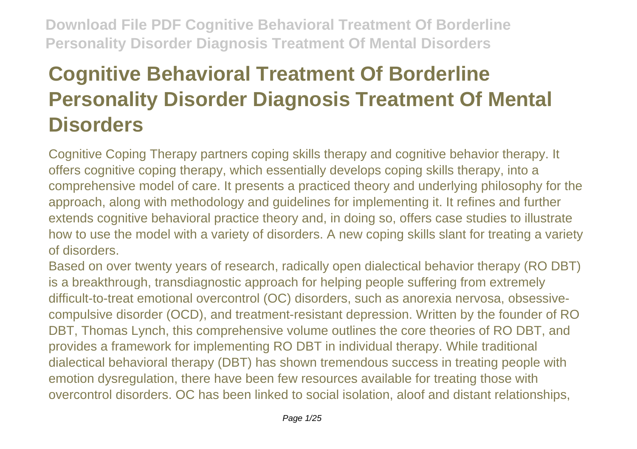# **Cognitive Behavioral Treatment Of Borderline Personality Disorder Diagnosis Treatment Of Mental Disorders**

Cognitive Coping Therapy partners coping skills therapy and cognitive behavior therapy. It offers cognitive coping therapy, which essentially develops coping skills therapy, into a comprehensive model of care. It presents a practiced theory and underlying philosophy for the approach, along with methodology and guidelines for implementing it. It refines and further extends cognitive behavioral practice theory and, in doing so, offers case studies to illustrate how to use the model with a variety of disorders. A new coping skills slant for treating a variety of disorders.

Based on over twenty years of research, radically open dialectical behavior therapy (RO DBT) is a breakthrough, transdiagnostic approach for helping people suffering from extremely difficult-to-treat emotional overcontrol (OC) disorders, such as anorexia nervosa, obsessivecompulsive disorder (OCD), and treatment-resistant depression. Written by the founder of RO DBT, Thomas Lynch, this comprehensive volume outlines the core theories of RO DBT, and provides a framework for implementing RO DBT in individual therapy. While traditional dialectical behavioral therapy (DBT) has shown tremendous success in treating people with emotion dysregulation, there have been few resources available for treating those with overcontrol disorders. OC has been linked to social isolation, aloof and distant relationships,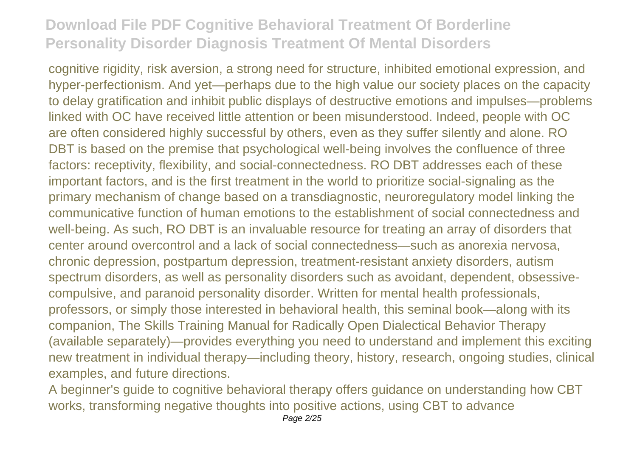cognitive rigidity, risk aversion, a strong need for structure, inhibited emotional expression, and hyper-perfectionism. And yet—perhaps due to the high value our society places on the capacity to delay gratification and inhibit public displays of destructive emotions and impulses—problems linked with OC have received little attention or been misunderstood. Indeed, people with OC are often considered highly successful by others, even as they suffer silently and alone. RO DBT is based on the premise that psychological well-being involves the confluence of three factors: receptivity, flexibility, and social-connectedness. RO DBT addresses each of these important factors, and is the first treatment in the world to prioritize social-signaling as the primary mechanism of change based on a transdiagnostic, neuroregulatory model linking the communicative function of human emotions to the establishment of social connectedness and well-being. As such, RO DBT is an invaluable resource for treating an array of disorders that center around overcontrol and a lack of social connectedness—such as anorexia nervosa, chronic depression, postpartum depression, treatment-resistant anxiety disorders, autism spectrum disorders, as well as personality disorders such as avoidant, dependent, obsessivecompulsive, and paranoid personality disorder. Written for mental health professionals, professors, or simply those interested in behavioral health, this seminal book—along with its companion, The Skills Training Manual for Radically Open Dialectical Behavior Therapy (available separately)—provides everything you need to understand and implement this exciting new treatment in individual therapy—including theory, history, research, ongoing studies, clinical examples, and future directions.

A beginner's guide to cognitive behavioral therapy offers guidance on understanding how CBT works, transforming negative thoughts into positive actions, using CBT to advance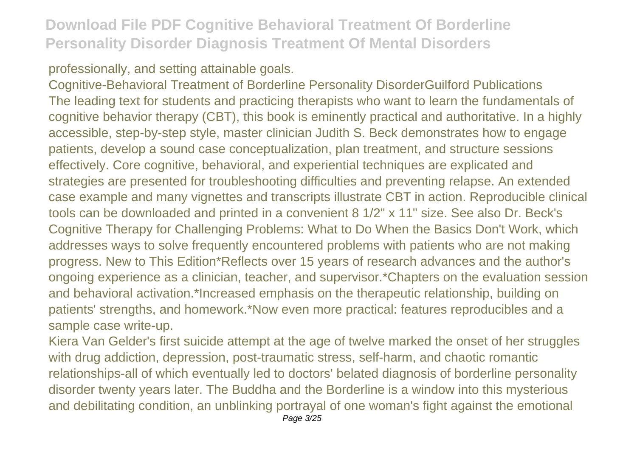#### professionally, and setting attainable goals.

Cognitive-Behavioral Treatment of Borderline Personality DisorderGuilford Publications The leading text for students and practicing therapists who want to learn the fundamentals of cognitive behavior therapy (CBT), this book is eminently practical and authoritative. In a highly accessible, step-by-step style, master clinician Judith S. Beck demonstrates how to engage patients, develop a sound case conceptualization, plan treatment, and structure sessions effectively. Core cognitive, behavioral, and experiential techniques are explicated and strategies are presented for troubleshooting difficulties and preventing relapse. An extended case example and many vignettes and transcripts illustrate CBT in action. Reproducible clinical tools can be downloaded and printed in a convenient 8 1/2" x 11" size. See also Dr. Beck's Cognitive Therapy for Challenging Problems: What to Do When the Basics Don't Work, which addresses ways to solve frequently encountered problems with patients who are not making progress. New to This Edition\*Reflects over 15 years of research advances and the author's ongoing experience as a clinician, teacher, and supervisor.\*Chapters on the evaluation session and behavioral activation.\*Increased emphasis on the therapeutic relationship, building on patients' strengths, and homework.\*Now even more practical: features reproducibles and a sample case write-up.

Kiera Van Gelder's first suicide attempt at the age of twelve marked the onset of her struggles with drug addiction, depression, post-traumatic stress, self-harm, and chaotic romantic relationships-all of which eventually led to doctors' belated diagnosis of borderline personality disorder twenty years later. The Buddha and the Borderline is a window into this mysterious and debilitating condition, an unblinking portrayal of one woman's fight against the emotional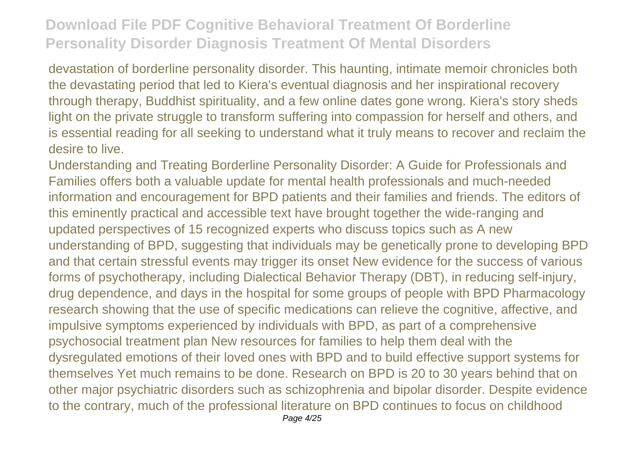devastation of borderline personality disorder. This haunting, intimate memoir chronicles both the devastating period that led to Kiera's eventual diagnosis and her inspirational recovery through therapy, Buddhist spirituality, and a few online dates gone wrong. Kiera's story sheds light on the private struggle to transform suffering into compassion for herself and others, and is essential reading for all seeking to understand what it truly means to recover and reclaim the desire to live.

Understanding and Treating Borderline Personality Disorder: A Guide for Professionals and Families offers both a valuable update for mental health professionals and much-needed information and encouragement for BPD patients and their families and friends. The editors of this eminently practical and accessible text have brought together the wide-ranging and updated perspectives of 15 recognized experts who discuss topics such as A new understanding of BPD, suggesting that individuals may be genetically prone to developing BPD and that certain stressful events may trigger its onset New evidence for the success of various forms of psychotherapy, including Dialectical Behavior Therapy (DBT), in reducing self-injury, drug dependence, and days in the hospital for some groups of people with BPD Pharmacology research showing that the use of specific medications can relieve the cognitive, affective, and impulsive symptoms experienced by individuals with BPD, as part of a comprehensive psychosocial treatment plan New resources for families to help them deal with the dysregulated emotions of their loved ones with BPD and to build effective support systems for themselves Yet much remains to be done. Research on BPD is 20 to 30 years behind that on other major psychiatric disorders such as schizophrenia and bipolar disorder. Despite evidence to the contrary, much of the professional literature on BPD continues to focus on childhood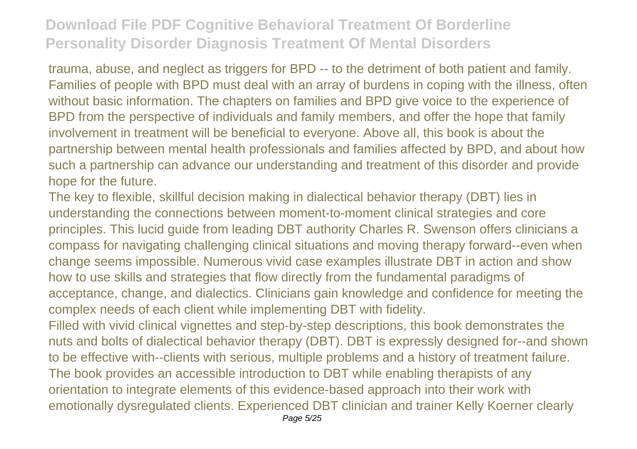trauma, abuse, and neglect as triggers for BPD -- to the detriment of both patient and family. Families of people with BPD must deal with an array of burdens in coping with the illness, often without basic information. The chapters on families and BPD give voice to the experience of BPD from the perspective of individuals and family members, and offer the hope that family involvement in treatment will be beneficial to everyone. Above all, this book is about the partnership between mental health professionals and families affected by BPD, and about how such a partnership can advance our understanding and treatment of this disorder and provide hope for the future.

The key to flexible, skillful decision making in dialectical behavior therapy (DBT) lies in understanding the connections between moment-to-moment clinical strategies and core principles. This lucid guide from leading DBT authority Charles R. Swenson offers clinicians a compass for navigating challenging clinical situations and moving therapy forward--even when change seems impossible. Numerous vivid case examples illustrate DBT in action and show how to use skills and strategies that flow directly from the fundamental paradigms of acceptance, change, and dialectics. Clinicians gain knowledge and confidence for meeting the complex needs of each client while implementing DBT with fidelity.

Filled with vivid clinical vignettes and step-by-step descriptions, this book demonstrates the nuts and bolts of dialectical behavior therapy (DBT). DBT is expressly designed for--and shown to be effective with--clients with serious, multiple problems and a history of treatment failure. The book provides an accessible introduction to DBT while enabling therapists of any orientation to integrate elements of this evidence-based approach into their work with emotionally dysregulated clients. Experienced DBT clinician and trainer Kelly Koerner clearly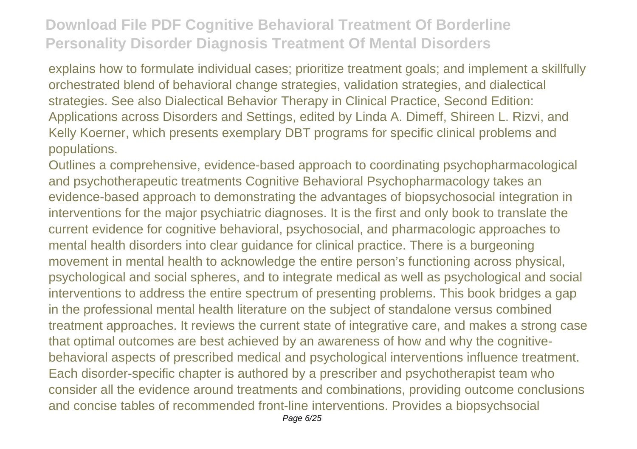explains how to formulate individual cases; prioritize treatment goals; and implement a skillfully orchestrated blend of behavioral change strategies, validation strategies, and dialectical strategies. See also Dialectical Behavior Therapy in Clinical Practice, Second Edition: Applications across Disorders and Settings, edited by Linda A. Dimeff, Shireen L. Rizvi, and Kelly Koerner, which presents exemplary DBT programs for specific clinical problems and populations.

Outlines a comprehensive, evidence-based approach to coordinating psychopharmacological and psychotherapeutic treatments Cognitive Behavioral Psychopharmacology takes an evidence-based approach to demonstrating the advantages of biopsychosocial integration in interventions for the major psychiatric diagnoses. It is the first and only book to translate the current evidence for cognitive behavioral, psychosocial, and pharmacologic approaches to mental health disorders into clear guidance for clinical practice. There is a burgeoning movement in mental health to acknowledge the entire person's functioning across physical, psychological and social spheres, and to integrate medical as well as psychological and social interventions to address the entire spectrum of presenting problems. This book bridges a gap in the professional mental health literature on the subject of standalone versus combined treatment approaches. It reviews the current state of integrative care, and makes a strong case that optimal outcomes are best achieved by an awareness of how and why the cognitivebehavioral aspects of prescribed medical and psychological interventions influence treatment. Each disorder-specific chapter is authored by a prescriber and psychotherapist team who consider all the evidence around treatments and combinations, providing outcome conclusions and concise tables of recommended front-line interventions. Provides a biopsychsocial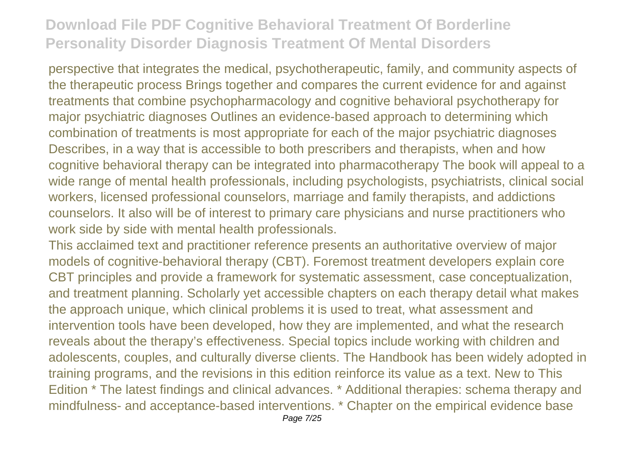perspective that integrates the medical, psychotherapeutic, family, and community aspects of the therapeutic process Brings together and compares the current evidence for and against treatments that combine psychopharmacology and cognitive behavioral psychotherapy for major psychiatric diagnoses Outlines an evidence-based approach to determining which combination of treatments is most appropriate for each of the major psychiatric diagnoses Describes, in a way that is accessible to both prescribers and therapists, when and how cognitive behavioral therapy can be integrated into pharmacotherapy The book will appeal to a wide range of mental health professionals, including psychologists, psychiatrists, clinical social workers, licensed professional counselors, marriage and family therapists, and addictions counselors. It also will be of interest to primary care physicians and nurse practitioners who work side by side with mental health professionals.

This acclaimed text and practitioner reference presents an authoritative overview of major models of cognitive-behavioral therapy (CBT). Foremost treatment developers explain core CBT principles and provide a framework for systematic assessment, case conceptualization, and treatment planning. Scholarly yet accessible chapters on each therapy detail what makes the approach unique, which clinical problems it is used to treat, what assessment and intervention tools have been developed, how they are implemented, and what the research reveals about the therapy's effectiveness. Special topics include working with children and adolescents, couples, and culturally diverse clients. The Handbook has been widely adopted in training programs, and the revisions in this edition reinforce its value as a text. New to This Edition \* The latest findings and clinical advances. \* Additional therapies: schema therapy and mindfulness- and acceptance-based interventions. \* Chapter on the empirical evidence base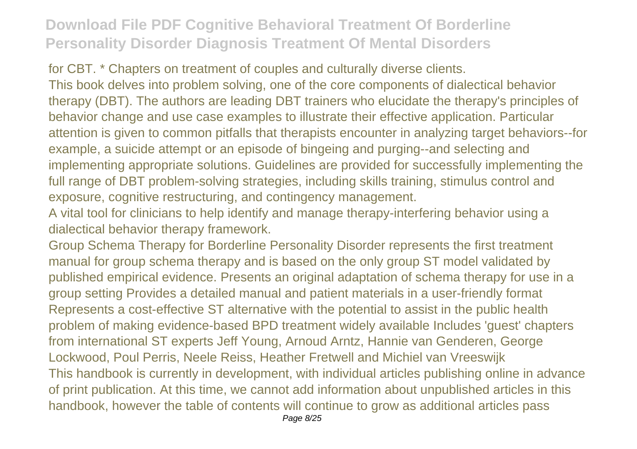for CBT. \* Chapters on treatment of couples and culturally diverse clients. This book delves into problem solving, one of the core components of dialectical behavior therapy (DBT). The authors are leading DBT trainers who elucidate the therapy's principles of behavior change and use case examples to illustrate their effective application. Particular attention is given to common pitfalls that therapists encounter in analyzing target behaviors--for example, a suicide attempt or an episode of bingeing and purging--and selecting and implementing appropriate solutions. Guidelines are provided for successfully implementing the full range of DBT problem-solving strategies, including skills training, stimulus control and exposure, cognitive restructuring, and contingency management.

A vital tool for clinicians to help identify and manage therapy-interfering behavior using a dialectical behavior therapy framework.

Group Schema Therapy for Borderline Personality Disorder represents the first treatment manual for group schema therapy and is based on the only group ST model validated by published empirical evidence. Presents an original adaptation of schema therapy for use in a group setting Provides a detailed manual and patient materials in a user-friendly format Represents a cost-effective ST alternative with the potential to assist in the public health problem of making evidence-based BPD treatment widely available Includes 'guest' chapters from international ST experts Jeff Young, Arnoud Arntz, Hannie van Genderen, George Lockwood, Poul Perris, Neele Reiss, Heather Fretwell and Michiel van Vreeswijk This handbook is currently in development, with individual articles publishing online in advance of print publication. At this time, we cannot add information about unpublished articles in this handbook, however the table of contents will continue to grow as additional articles pass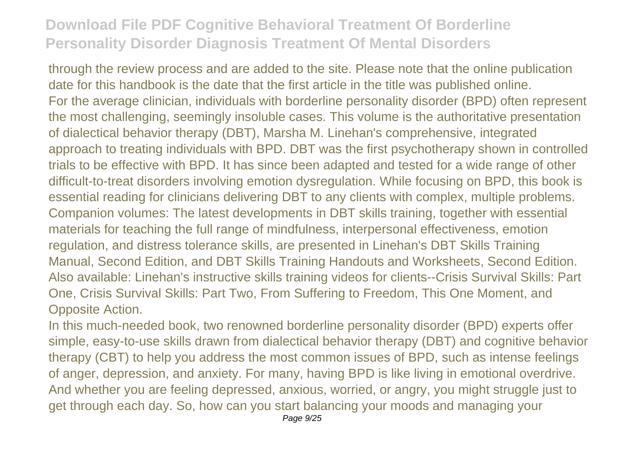through the review process and are added to the site. Please note that the online publication date for this handbook is the date that the first article in the title was published online. For the average clinician, individuals with borderline personality disorder (BPD) often represent the most challenging, seemingly insoluble cases. This volume is the authoritative presentation of dialectical behavior therapy (DBT), Marsha M. Linehan's comprehensive, integrated approach to treating individuals with BPD. DBT was the first psychotherapy shown in controlled trials to be effective with BPD. It has since been adapted and tested for a wide range of other difficult-to-treat disorders involving emotion dysregulation. While focusing on BPD, this book is essential reading for clinicians delivering DBT to any clients with complex, multiple problems. Companion volumes: The latest developments in DBT skills training, together with essential materials for teaching the full range of mindfulness, interpersonal effectiveness, emotion regulation, and distress tolerance skills, are presented in Linehan's DBT Skills Training Manual, Second Edition, and DBT Skills Training Handouts and Worksheets, Second Edition. Also available: Linehan's instructive skills training videos for clients--Crisis Survival Skills: Part One, Crisis Survival Skills: Part Two, From Suffering to Freedom, This One Moment, and Opposite Action.

In this much-needed book, two renowned borderline personality disorder (BPD) experts offer simple, easy-to-use skills drawn from dialectical behavior therapy (DBT) and cognitive behavior therapy (CBT) to help you address the most common issues of BPD, such as intense feelings of anger, depression, and anxiety. For many, having BPD is like living in emotional overdrive. And whether you are feeling depressed, anxious, worried, or angry, you might struggle just to get through each day. So, how can you start balancing your moods and managing your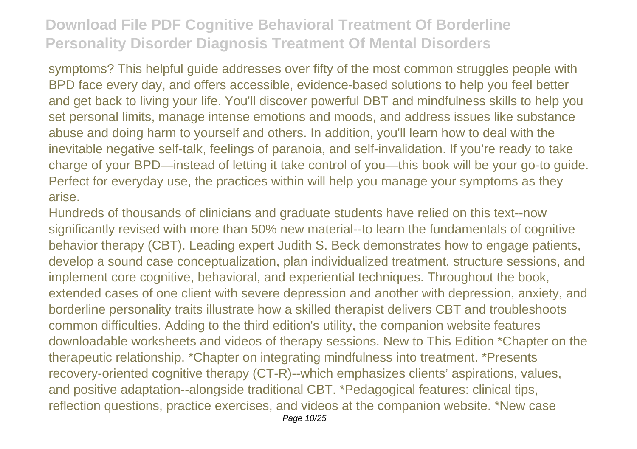symptoms? This helpful guide addresses over fifty of the most common struggles people with BPD face every day, and offers accessible, evidence-based solutions to help you feel better and get back to living your life. You'll discover powerful DBT and mindfulness skills to help you set personal limits, manage intense emotions and moods, and address issues like substance abuse and doing harm to yourself and others. In addition, you'll learn how to deal with the inevitable negative self-talk, feelings of paranoia, and self-invalidation. If you're ready to take charge of your BPD—instead of letting it take control of you—this book will be your go-to guide. Perfect for everyday use, the practices within will help you manage your symptoms as they arise.

Hundreds of thousands of clinicians and graduate students have relied on this text--now significantly revised with more than 50% new material--to learn the fundamentals of cognitive behavior therapy (CBT). Leading expert Judith S. Beck demonstrates how to engage patients, develop a sound case conceptualization, plan individualized treatment, structure sessions, and implement core cognitive, behavioral, and experiential techniques. Throughout the book, extended cases of one client with severe depression and another with depression, anxiety, and borderline personality traits illustrate how a skilled therapist delivers CBT and troubleshoots common difficulties. Adding to the third edition's utility, the companion website features downloadable worksheets and videos of therapy sessions. New to This Edition \*Chapter on the therapeutic relationship. \*Chapter on integrating mindfulness into treatment. \*Presents recovery-oriented cognitive therapy (CT-R)--which emphasizes clients' aspirations, values, and positive adaptation--alongside traditional CBT. \*Pedagogical features: clinical tips, reflection questions, practice exercises, and videos at the companion website. \*New case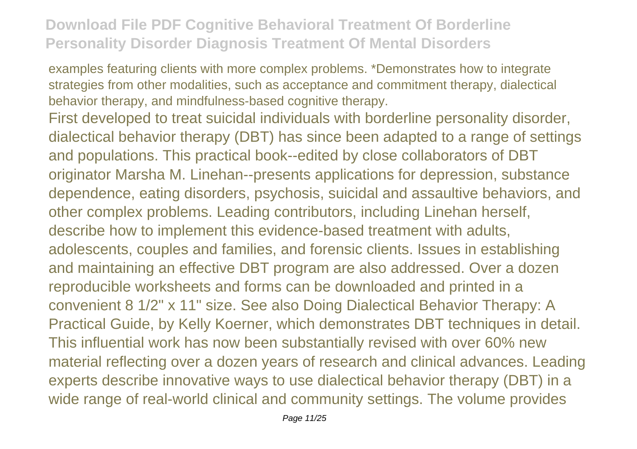examples featuring clients with more complex problems. \*Demonstrates how to integrate strategies from other modalities, such as acceptance and commitment therapy, dialectical behavior therapy, and mindfulness-based cognitive therapy.

First developed to treat suicidal individuals with borderline personality disorder, dialectical behavior therapy (DBT) has since been adapted to a range of settings and populations. This practical book--edited by close collaborators of DBT originator Marsha M. Linehan--presents applications for depression, substance dependence, eating disorders, psychosis, suicidal and assaultive behaviors, and other complex problems. Leading contributors, including Linehan herself, describe how to implement this evidence-based treatment with adults, adolescents, couples and families, and forensic clients. Issues in establishing and maintaining an effective DBT program are also addressed. Over a dozen reproducible worksheets and forms can be downloaded and printed in a convenient 8 1/2" x 11" size. See also Doing Dialectical Behavior Therapy: A Practical Guide, by Kelly Koerner, which demonstrates DBT techniques in detail. This influential work has now been substantially revised with over 60% new material reflecting over a dozen years of research and clinical advances. Leading experts describe innovative ways to use dialectical behavior therapy (DBT) in a wide range of real-world clinical and community settings. The volume provides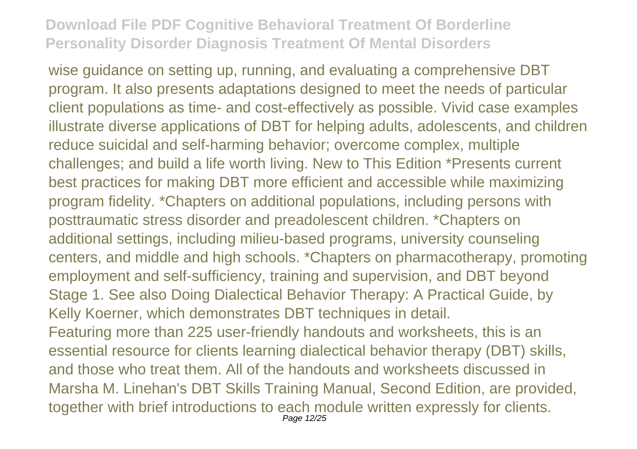wise guidance on setting up, running, and evaluating a comprehensive DBT program. It also presents adaptations designed to meet the needs of particular client populations as time- and cost-effectively as possible. Vivid case examples illustrate diverse applications of DBT for helping adults, adolescents, and children reduce suicidal and self-harming behavior; overcome complex, multiple challenges; and build a life worth living. New to This Edition \*Presents current best practices for making DBT more efficient and accessible while maximizing program fidelity. \*Chapters on additional populations, including persons with posttraumatic stress disorder and preadolescent children. \*Chapters on additional settings, including milieu-based programs, university counseling centers, and middle and high schools. \*Chapters on pharmacotherapy, promoting employment and self-sufficiency, training and supervision, and DBT beyond Stage 1. See also Doing Dialectical Behavior Therapy: A Practical Guide, by Kelly Koerner, which demonstrates DBT techniques in detail. Featuring more than 225 user-friendly handouts and worksheets, this is an essential resource for clients learning dialectical behavior therapy (DBT) skills, and those who treat them. All of the handouts and worksheets discussed in Marsha M. Linehan's DBT Skills Training Manual, Second Edition, are provided, together with brief introductions to each module written expressly for clients.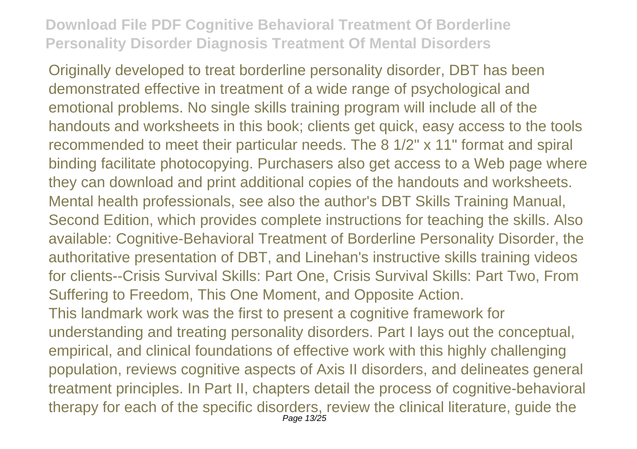Originally developed to treat borderline personality disorder, DBT has been demonstrated effective in treatment of a wide range of psychological and emotional problems. No single skills training program will include all of the handouts and worksheets in this book; clients get quick, easy access to the tools recommended to meet their particular needs. The 8 1/2" x 11" format and spiral binding facilitate photocopying. Purchasers also get access to a Web page where they can download and print additional copies of the handouts and worksheets. Mental health professionals, see also the author's DBT Skills Training Manual, Second Edition, which provides complete instructions for teaching the skills. Also available: Cognitive-Behavioral Treatment of Borderline Personality Disorder, the authoritative presentation of DBT, and Linehan's instructive skills training videos for clients--Crisis Survival Skills: Part One, Crisis Survival Skills: Part Two, From Suffering to Freedom, This One Moment, and Opposite Action. This landmark work was the first to present a cognitive framework for understanding and treating personality disorders. Part I lays out the conceptual, empirical, and clinical foundations of effective work with this highly challenging

population, reviews cognitive aspects of Axis II disorders, and delineates general treatment principles. In Part II, chapters detail the process of cognitive-behavioral therapy for each of the specific disorders, review the clinical literature, guide the Page 13/25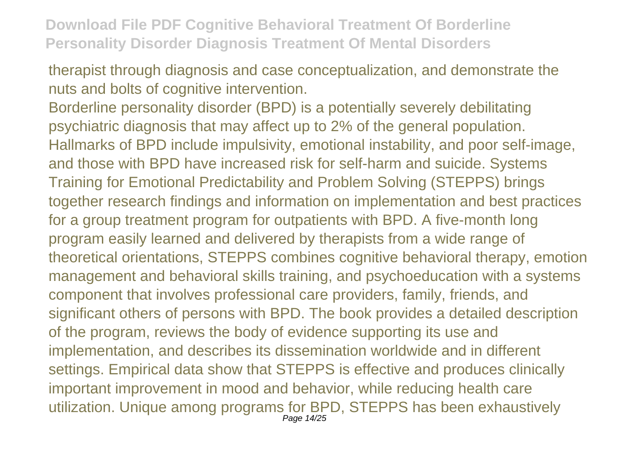therapist through diagnosis and case conceptualization, and demonstrate the nuts and bolts of cognitive intervention.

Borderline personality disorder (BPD) is a potentially severely debilitating psychiatric diagnosis that may affect up to 2% of the general population. Hallmarks of BPD include impulsivity, emotional instability, and poor self-image, and those with BPD have increased risk for self-harm and suicide. Systems Training for Emotional Predictability and Problem Solving (STEPPS) brings together research findings and information on implementation and best practices for a group treatment program for outpatients with BPD. A five-month long program easily learned and delivered by therapists from a wide range of theoretical orientations, STEPPS combines cognitive behavioral therapy, emotion management and behavioral skills training, and psychoeducation with a systems component that involves professional care providers, family, friends, and significant others of persons with BPD. The book provides a detailed description of the program, reviews the body of evidence supporting its use and implementation, and describes its dissemination worldwide and in different settings. Empirical data show that STEPPS is effective and produces clinically important improvement in mood and behavior, while reducing health care utilization. Unique among programs for BPD, STEPPS has been exhaustively Page 14/25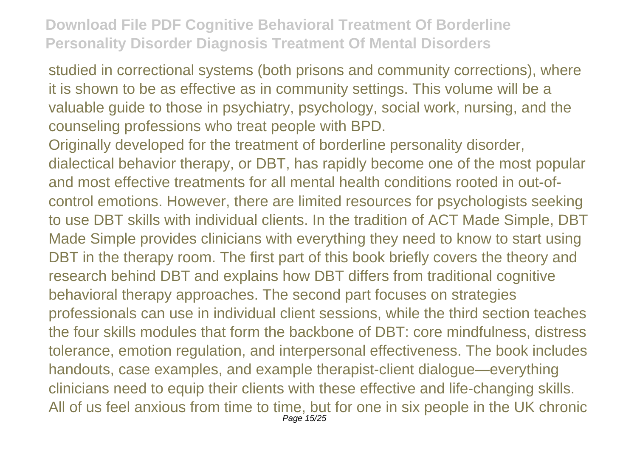studied in correctional systems (both prisons and community corrections), where it is shown to be as effective as in community settings. This volume will be a valuable guide to those in psychiatry, psychology, social work, nursing, and the counseling professions who treat people with BPD.

Originally developed for the treatment of borderline personality disorder, dialectical behavior therapy, or DBT, has rapidly become one of the most popular and most effective treatments for all mental health conditions rooted in out-ofcontrol emotions. However, there are limited resources for psychologists seeking to use DBT skills with individual clients. In the tradition of ACT Made Simple, DBT Made Simple provides clinicians with everything they need to know to start using DBT in the therapy room. The first part of this book briefly covers the theory and research behind DBT and explains how DBT differs from traditional cognitive behavioral therapy approaches. The second part focuses on strategies professionals can use in individual client sessions, while the third section teaches the four skills modules that form the backbone of DBT: core mindfulness, distress tolerance, emotion regulation, and interpersonal effectiveness. The book includes handouts, case examples, and example therapist-client dialogue—everything clinicians need to equip their clients with these effective and life-changing skills. All of us feel anxious from time to time, but for one in six people in the UK chronic Page 15/25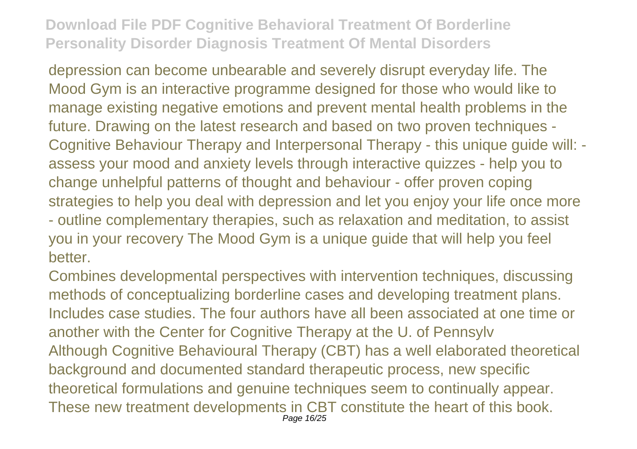depression can become unbearable and severely disrupt everyday life. The Mood Gym is an interactive programme designed for those who would like to manage existing negative emotions and prevent mental health problems in the future. Drawing on the latest research and based on two proven techniques - Cognitive Behaviour Therapy and Interpersonal Therapy - this unique guide will: assess your mood and anxiety levels through interactive quizzes - help you to change unhelpful patterns of thought and behaviour - offer proven coping strategies to help you deal with depression and let you enjoy your life once more - outline complementary therapies, such as relaxation and meditation, to assist you in your recovery The Mood Gym is a unique guide that will help you feel better.

Combines developmental perspectives with intervention techniques, discussing methods of conceptualizing borderline cases and developing treatment plans. Includes case studies. The four authors have all been associated at one time or another with the Center for Cognitive Therapy at the U. of Pennsylv Although Cognitive Behavioural Therapy (CBT) has a well elaborated theoretical background and documented standard therapeutic process, new specific theoretical formulations and genuine techniques seem to continually appear. These new treatment developments in CBT constitute the heart of this book. Page 16/25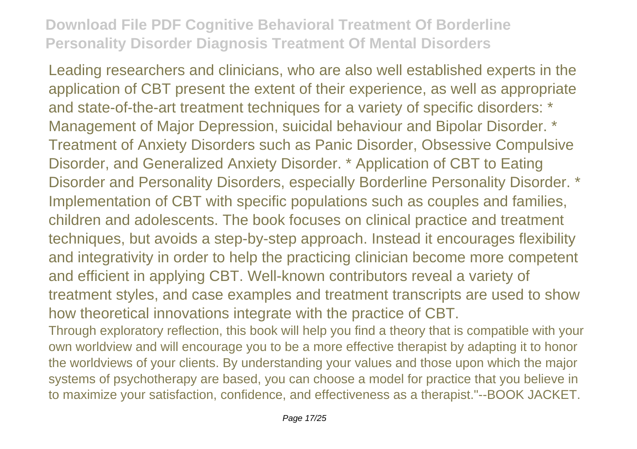Leading researchers and clinicians, who are also well established experts in the application of CBT present the extent of their experience, as well as appropriate and state-of-the-art treatment techniques for a variety of specific disorders: \* Management of Major Depression, suicidal behaviour and Bipolar Disorder. \* Treatment of Anxiety Disorders such as Panic Disorder, Obsessive Compulsive Disorder, and Generalized Anxiety Disorder. \* Application of CBT to Eating Disorder and Personality Disorders, especially Borderline Personality Disorder. \* Implementation of CBT with specific populations such as couples and families, children and adolescents. The book focuses on clinical practice and treatment techniques, but avoids a step-by-step approach. Instead it encourages flexibility and integrativity in order to help the practicing clinician become more competent and efficient in applying CBT. Well-known contributors reveal a variety of treatment styles, and case examples and treatment transcripts are used to show how theoretical innovations integrate with the practice of CBT.

Through exploratory reflection, this book will help you find a theory that is compatible with your own worldview and will encourage you to be a more effective therapist by adapting it to honor the worldviews of your clients. By understanding your values and those upon which the major systems of psychotherapy are based, you can choose a model for practice that you believe in to maximize your satisfaction, confidence, and effectiveness as a therapist."--BOOK JACKET.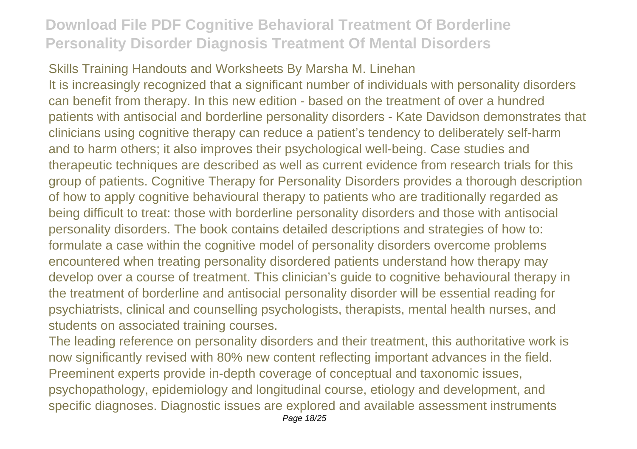#### Skills Training Handouts and Worksheets By Marsha M. Linehan

It is increasingly recognized that a significant number of individuals with personality disorders can benefit from therapy. In this new edition - based on the treatment of over a hundred patients with antisocial and borderline personality disorders - Kate Davidson demonstrates that clinicians using cognitive therapy can reduce a patient's tendency to deliberately self-harm and to harm others; it also improves their psychological well-being. Case studies and therapeutic techniques are described as well as current evidence from research trials for this group of patients. Cognitive Therapy for Personality Disorders provides a thorough description of how to apply cognitive behavioural therapy to patients who are traditionally regarded as being difficult to treat: those with borderline personality disorders and those with antisocial personality disorders. The book contains detailed descriptions and strategies of how to: formulate a case within the cognitive model of personality disorders overcome problems encountered when treating personality disordered patients understand how therapy may develop over a course of treatment. This clinician's guide to cognitive behavioural therapy in the treatment of borderline and antisocial personality disorder will be essential reading for psychiatrists, clinical and counselling psychologists, therapists, mental health nurses, and students on associated training courses.

The leading reference on personality disorders and their treatment, this authoritative work is now significantly revised with 80% new content reflecting important advances in the field. Preeminent experts provide in-depth coverage of conceptual and taxonomic issues, psychopathology, epidemiology and longitudinal course, etiology and development, and specific diagnoses. Diagnostic issues are explored and available assessment instruments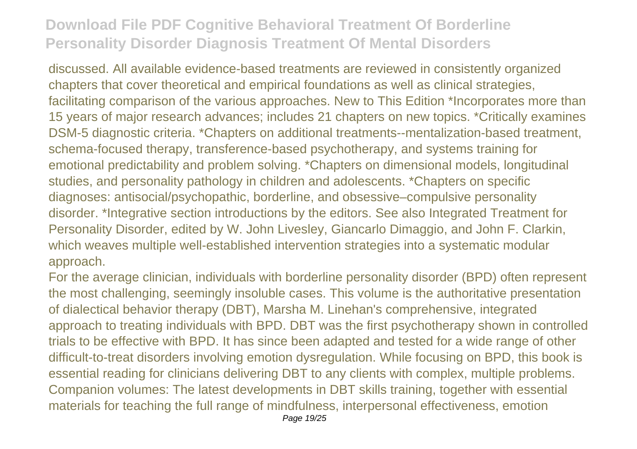discussed. All available evidence-based treatments are reviewed in consistently organized chapters that cover theoretical and empirical foundations as well as clinical strategies, facilitating comparison of the various approaches. New to This Edition \*Incorporates more than 15 years of major research advances; includes 21 chapters on new topics. \*Critically examines DSM-5 diagnostic criteria. \*Chapters on additional treatments--mentalization-based treatment, schema-focused therapy, transference-based psychotherapy, and systems training for emotional predictability and problem solving. \*Chapters on dimensional models, longitudinal studies, and personality pathology in children and adolescents. \*Chapters on specific diagnoses: antisocial/psychopathic, borderline, and obsessive–compulsive personality disorder. \*Integrative section introductions by the editors. See also Integrated Treatment for Personality Disorder, edited by W. John Livesley, Giancarlo Dimaggio, and John F. Clarkin, which weaves multiple well-established intervention strategies into a systematic modular approach.

For the average clinician, individuals with borderline personality disorder (BPD) often represent the most challenging, seemingly insoluble cases. This volume is the authoritative presentation of dialectical behavior therapy (DBT), Marsha M. Linehan's comprehensive, integrated approach to treating individuals with BPD. DBT was the first psychotherapy shown in controlled trials to be effective with BPD. It has since been adapted and tested for a wide range of other difficult-to-treat disorders involving emotion dysregulation. While focusing on BPD, this book is essential reading for clinicians delivering DBT to any clients with complex, multiple problems. Companion volumes: The latest developments in DBT skills training, together with essential materials for teaching the full range of mindfulness, interpersonal effectiveness, emotion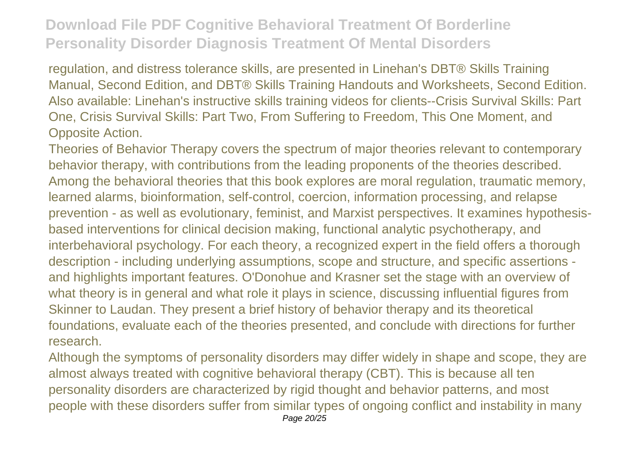regulation, and distress tolerance skills, are presented in Linehan's DBT® Skills Training Manual, Second Edition, and DBT® Skills Training Handouts and Worksheets, Second Edition. Also available: Linehan's instructive skills training videos for clients--Crisis Survival Skills: Part One, Crisis Survival Skills: Part Two, From Suffering to Freedom, This One Moment, and Opposite Action.

Theories of Behavior Therapy covers the spectrum of major theories relevant to contemporary behavior therapy, with contributions from the leading proponents of the theories described. Among the behavioral theories that this book explores are moral regulation, traumatic memory, learned alarms, bioinformation, self-control, coercion, information processing, and relapse prevention - as well as evolutionary, feminist, and Marxist perspectives. It examines hypothesisbased interventions for clinical decision making, functional analytic psychotherapy, and interbehavioral psychology. For each theory, a recognized expert in the field offers a thorough description - including underlying assumptions, scope and structure, and specific assertions and highlights important features. O'Donohue and Krasner set the stage with an overview of what theory is in general and what role it plays in science, discussing influential figures from Skinner to Laudan. They present a brief history of behavior therapy and its theoretical foundations, evaluate each of the theories presented, and conclude with directions for further research.

Although the symptoms of personality disorders may differ widely in shape and scope, they are almost always treated with cognitive behavioral therapy (CBT). This is because all ten personality disorders are characterized by rigid thought and behavior patterns, and most people with these disorders suffer from similar types of ongoing conflict and instability in many Page 20/25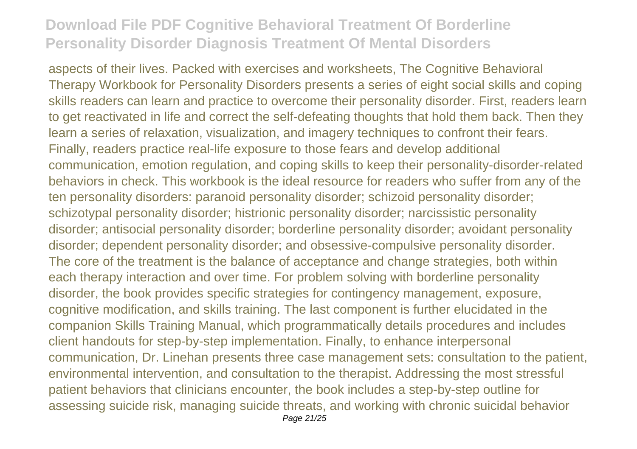aspects of their lives. Packed with exercises and worksheets, The Cognitive Behavioral Therapy Workbook for Personality Disorders presents a series of eight social skills and coping skills readers can learn and practice to overcome their personality disorder. First, readers learn to get reactivated in life and correct the self-defeating thoughts that hold them back. Then they learn a series of relaxation, visualization, and imagery techniques to confront their fears. Finally, readers practice real-life exposure to those fears and develop additional communication, emotion regulation, and coping skills to keep their personality-disorder-related behaviors in check. This workbook is the ideal resource for readers who suffer from any of the ten personality disorders: paranoid personality disorder; schizoid personality disorder; schizotypal personality disorder; histrionic personality disorder; narcissistic personality disorder; antisocial personality disorder; borderline personality disorder; avoidant personality disorder; dependent personality disorder; and obsessive-compulsive personality disorder. The core of the treatment is the balance of acceptance and change strategies, both within each therapy interaction and over time. For problem solving with borderline personality disorder, the book provides specific strategies for contingency management, exposure, cognitive modification, and skills training. The last component is further elucidated in the companion Skills Training Manual, which programmatically details procedures and includes client handouts for step-by-step implementation. Finally, to enhance interpersonal communication, Dr. Linehan presents three case management sets: consultation to the patient, environmental intervention, and consultation to the therapist. Addressing the most stressful patient behaviors that clinicians encounter, the book includes a step-by-step outline for assessing suicide risk, managing suicide threats, and working with chronic suicidal behavior Page 21/25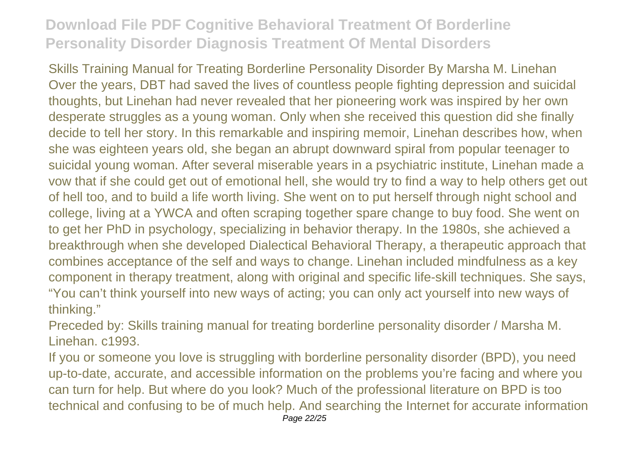Skills Training Manual for Treating Borderline Personality Disorder By Marsha M. Linehan Over the years, DBT had saved the lives of countless people fighting depression and suicidal thoughts, but Linehan had never revealed that her pioneering work was inspired by her own desperate struggles as a young woman. Only when she received this question did she finally decide to tell her story. In this remarkable and inspiring memoir, Linehan describes how, when she was eighteen years old, she began an abrupt downward spiral from popular teenager to suicidal young woman. After several miserable years in a psychiatric institute, Linehan made a vow that if she could get out of emotional hell, she would try to find a way to help others get out of hell too, and to build a life worth living. She went on to put herself through night school and college, living at a YWCA and often scraping together spare change to buy food. She went on to get her PhD in psychology, specializing in behavior therapy. In the 1980s, she achieved a breakthrough when she developed Dialectical Behavioral Therapy, a therapeutic approach that combines acceptance of the self and ways to change. Linehan included mindfulness as a key component in therapy treatment, along with original and specific life-skill techniques. She says, "You can't think yourself into new ways of acting; you can only act yourself into new ways of thinking."

Preceded by: Skills training manual for treating borderline personality disorder / Marsha M. Linehan. c1993.

If you or someone you love is struggling with borderline personality disorder (BPD), you need up-to-date, accurate, and accessible information on the problems you're facing and where you can turn for help. But where do you look? Much of the professional literature on BPD is too technical and confusing to be of much help. And searching the Internet for accurate information Page 22/25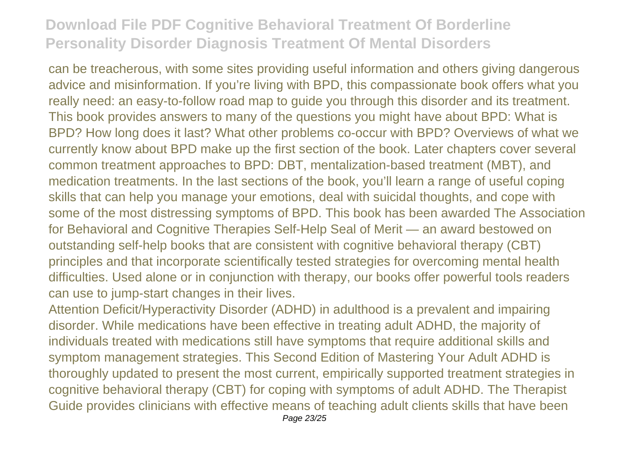can be treacherous, with some sites providing useful information and others giving dangerous advice and misinformation. If you're living with BPD, this compassionate book offers what you really need: an easy-to-follow road map to guide you through this disorder and its treatment. This book provides answers to many of the questions you might have about BPD: What is BPD? How long does it last? What other problems co-occur with BPD? Overviews of what we currently know about BPD make up the first section of the book. Later chapters cover several common treatment approaches to BPD: DBT, mentalization-based treatment (MBT), and medication treatments. In the last sections of the book, you'll learn a range of useful coping skills that can help you manage your emotions, deal with suicidal thoughts, and cope with some of the most distressing symptoms of BPD. This book has been awarded The Association for Behavioral and Cognitive Therapies Self-Help Seal of Merit — an award bestowed on outstanding self-help books that are consistent with cognitive behavioral therapy (CBT) principles and that incorporate scientifically tested strategies for overcoming mental health difficulties. Used alone or in conjunction with therapy, our books offer powerful tools readers can use to jump-start changes in their lives.

Attention Deficit/Hyperactivity Disorder (ADHD) in adulthood is a prevalent and impairing disorder. While medications have been effective in treating adult ADHD, the majority of individuals treated with medications still have symptoms that require additional skills and symptom management strategies. This Second Edition of Mastering Your Adult ADHD is thoroughly updated to present the most current, empirically supported treatment strategies in cognitive behavioral therapy (CBT) for coping with symptoms of adult ADHD. The Therapist Guide provides clinicians with effective means of teaching adult clients skills that have been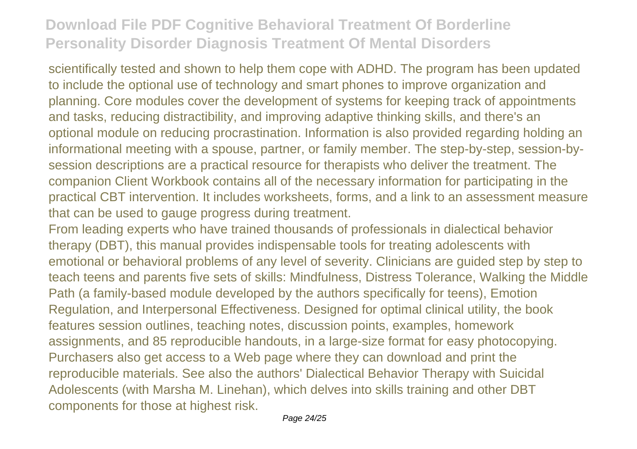scientifically tested and shown to help them cope with ADHD. The program has been updated to include the optional use of technology and smart phones to improve organization and planning. Core modules cover the development of systems for keeping track of appointments and tasks, reducing distractibility, and improving adaptive thinking skills, and there's an optional module on reducing procrastination. Information is also provided regarding holding an informational meeting with a spouse, partner, or family member. The step-by-step, session-bysession descriptions are a practical resource for therapists who deliver the treatment. The companion Client Workbook contains all of the necessary information for participating in the practical CBT intervention. It includes worksheets, forms, and a link to an assessment measure that can be used to gauge progress during treatment.

From leading experts who have trained thousands of professionals in dialectical behavior therapy (DBT), this manual provides indispensable tools for treating adolescents with emotional or behavioral problems of any level of severity. Clinicians are guided step by step to teach teens and parents five sets of skills: Mindfulness, Distress Tolerance, Walking the Middle Path (a family-based module developed by the authors specifically for teens), Emotion Regulation, and Interpersonal Effectiveness. Designed for optimal clinical utility, the book features session outlines, teaching notes, discussion points, examples, homework assignments, and 85 reproducible handouts, in a large-size format for easy photocopying. Purchasers also get access to a Web page where they can download and print the reproducible materials. See also the authors' Dialectical Behavior Therapy with Suicidal Adolescents (with Marsha M. Linehan), which delves into skills training and other DBT components for those at highest risk.